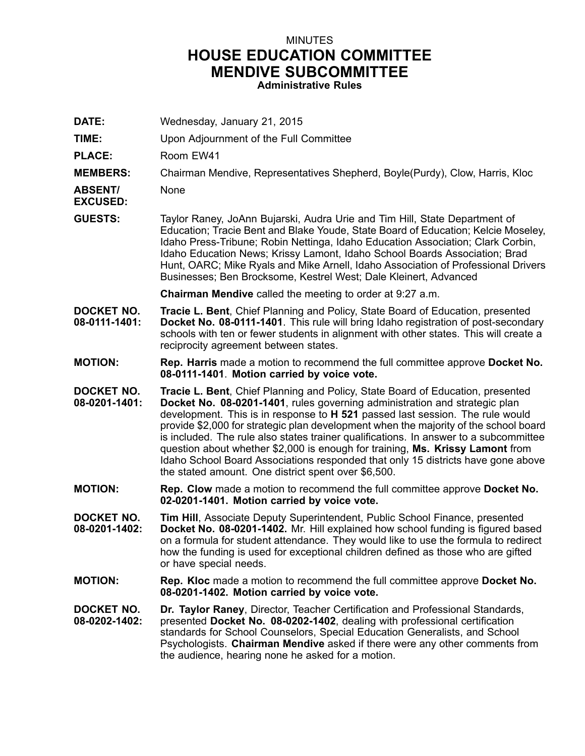## MINUTES **HOUSE EDUCATION COMMITTEE MENDIVE SUBCOMMITTEE Administrative Rules**

| DATE:                              | Wednesday, January 21, 2015                                                                                                                                                                                                                                                                                                                                                                                                                                                                                                                                                                                                                                |
|------------------------------------|------------------------------------------------------------------------------------------------------------------------------------------------------------------------------------------------------------------------------------------------------------------------------------------------------------------------------------------------------------------------------------------------------------------------------------------------------------------------------------------------------------------------------------------------------------------------------------------------------------------------------------------------------------|
| TIME:                              | Upon Adjournment of the Full Committee                                                                                                                                                                                                                                                                                                                                                                                                                                                                                                                                                                                                                     |
| <b>PLACE:</b>                      | Room EW41                                                                                                                                                                                                                                                                                                                                                                                                                                                                                                                                                                                                                                                  |
| <b>MEMBERS:</b>                    | Chairman Mendive, Representatives Shepherd, Boyle(Purdy), Clow, Harris, Kloc                                                                                                                                                                                                                                                                                                                                                                                                                                                                                                                                                                               |
| <b>ABSENT/</b><br><b>EXCUSED:</b>  | None                                                                                                                                                                                                                                                                                                                                                                                                                                                                                                                                                                                                                                                       |
| <b>GUESTS:</b>                     | Taylor Raney, JoAnn Bujarski, Audra Urie and Tim Hill, State Department of<br>Education; Tracie Bent and Blake Youde, State Board of Education; Kelcie Moseley,<br>Idaho Press-Tribune; Robin Nettinga, Idaho Education Association; Clark Corbin,<br>Idaho Education News; Krissy Lamont, Idaho School Boards Association; Brad<br>Hunt, OARC; Mike Ryals and Mike Arnell, Idaho Association of Professional Drivers<br>Businesses; Ben Brocksome, Kestrel West; Dale Kleinert, Advanced                                                                                                                                                                  |
|                                    | <b>Chairman Mendive</b> called the meeting to order at 9:27 a.m.                                                                                                                                                                                                                                                                                                                                                                                                                                                                                                                                                                                           |
| <b>DOCKET NO.</b><br>08-0111-1401: | Tracie L. Bent, Chief Planning and Policy, State Board of Education, presented<br>Docket No. 08-0111-1401. This rule will bring Idaho registration of post-secondary<br>schools with ten or fewer students in alignment with other states. This will create a<br>reciprocity agreement between states.                                                                                                                                                                                                                                                                                                                                                     |
| <b>MOTION:</b>                     | Rep. Harris made a motion to recommend the full committee approve Docket No.<br>08-0111-1401. Motion carried by voice vote.                                                                                                                                                                                                                                                                                                                                                                                                                                                                                                                                |
| <b>DOCKET NO.</b><br>08-0201-1401: | Tracie L. Bent, Chief Planning and Policy, State Board of Education, presented<br>Docket No. 08-0201-1401, rules governing administration and strategic plan<br>development. This is in response to H 521 passed last session. The rule would<br>provide \$2,000 for strategic plan development when the majority of the school board<br>is included. The rule also states trainer qualifications. In answer to a subcommittee<br>question about whether \$2,000 is enough for training, Ms. Krissy Lamont from<br>Idaho School Board Associations responded that only 15 districts have gone above<br>the stated amount. One district spent over \$6,500. |
| <b>MOTION:</b>                     | Rep. Clow made a motion to recommend the full committee approve Docket No.<br>02-0201-1401. Motion carried by voice vote.                                                                                                                                                                                                                                                                                                                                                                                                                                                                                                                                  |
| <b>DOCKET NO.</b><br>08-0201-1402: | Tim Hill, Associate Deputy Superintendent, Public School Finance, presented<br>Docket No. 08-0201-1402. Mr. Hill explained how school funding is figured based<br>on a formula for student attendance. They would like to use the formula to redirect<br>how the funding is used for exceptional children defined as those who are gifted<br>or have special needs.                                                                                                                                                                                                                                                                                        |
| <b>MOTION:</b>                     | <b>Rep. Kloc</b> made a motion to recommend the full committee approve Docket No.<br>08-0201-1402. Motion carried by voice vote.                                                                                                                                                                                                                                                                                                                                                                                                                                                                                                                           |
| DOCKET NO.<br>08-0202-1402:        | Dr. Taylor Raney, Director, Teacher Certification and Professional Standards,<br>presented Docket No. 08-0202-1402, dealing with professional certification<br>standards for School Counselors, Special Education Generalists, and School<br>Psychologists. Chairman Mendive asked if there were any other comments from<br>the audience, hearing none he asked for a motion.                                                                                                                                                                                                                                                                              |